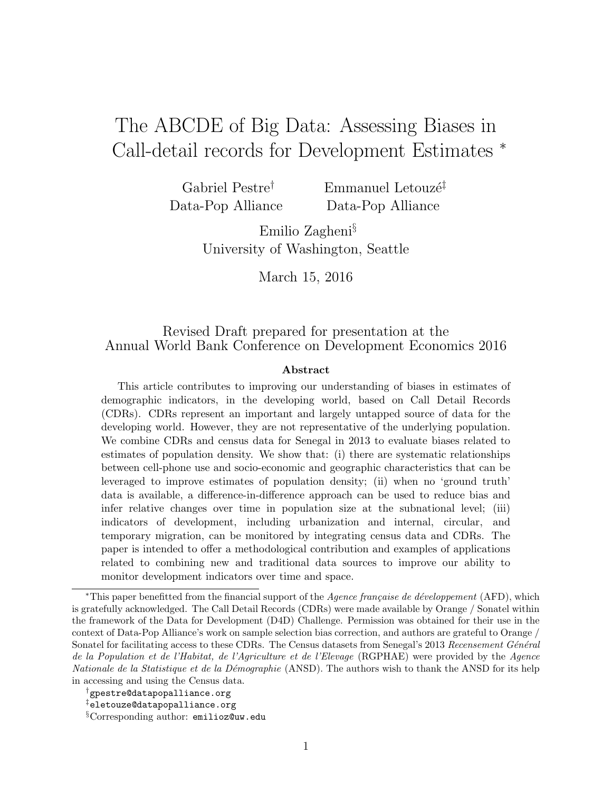# The ABCDE of Big Data: Assessing Biases in Call-detail records for Development Estimates <sup>∗</sup>

Gabriel Pestre† Data-Pop Alliance Emmanuel Letouzé<sup> $‡$ </sup> Data-Pop Alliance

Emilio Zagheni§ University of Washington, Seattle

March 15, 2016

#### Revised Draft prepared for presentation at the Annual World Bank Conference on Development Economics 2016

#### Abstract

This article contributes to improving our understanding of biases in estimates of demographic indicators, in the developing world, based on Call Detail Records (CDRs). CDRs represent an important and largely untapped source of data for the developing world. However, they are not representative of the underlying population. We combine CDRs and census data for Senegal in 2013 to evaluate biases related to estimates of population density. We show that: (i) there are systematic relationships between cell-phone use and socio-economic and geographic characteristics that can be leveraged to improve estimates of population density; (ii) when no 'ground truth' data is available, a difference-in-difference approach can be used to reduce bias and infer relative changes over time in population size at the subnational level; (iii) indicators of development, including urbanization and internal, circular, and temporary migration, can be monitored by integrating census data and CDRs. The paper is intended to offer a methodological contribution and examples of applications related to combining new and traditional data sources to improve our ability to monitor development indicators over time and space.

 $*$ This paper benefitted from the financial support of the *Agence française de développement* (AFD), which is gratefully acknowledged. The Call Detail Records (CDRs) were made available by Orange / Sonatel within the framework of the Data for Development (D4D) Challenge. Permission was obtained for their use in the context of Data-Pop Alliance's work on sample selection bias correction, and authors are grateful to Orange / Sonatel for facilitating access to these CDRs. The Census datasets from Senegal's 2013 Recensement Général de la Population et de l'Habitat, de l'Agriculture et de l'Elevage (RGPHAE) were provided by the Agence Nationale de la Statistique et de la Démographie (ANSD). The authors wish to thank the ANSD for its help in accessing and using the Census data.

<sup>†</sup>gpestre@datapopalliance.org

<sup>‡</sup>eletouze@datapopalliance.org

<sup>§</sup>Corresponding author: emilioz@uw.edu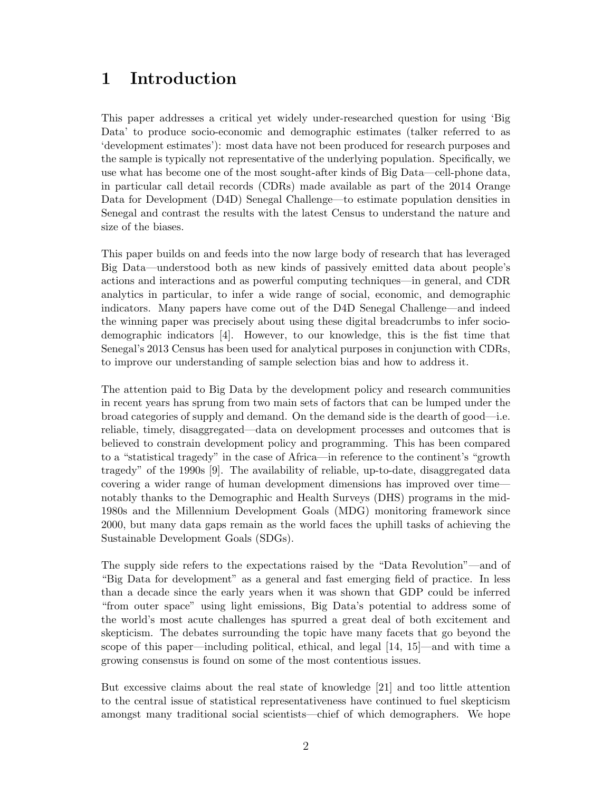## 1 Introduction

This paper addresses a critical yet widely under-researched question for using 'Big Data' to produce socio-economic and demographic estimates (talker referred to as 'development estimates'): most data have not been produced for research purposes and the sample is typically not representative of the underlying population. Specifically, we use what has become one of the most sought-after kinds of Big Data—cell-phone data, in particular call detail records (CDRs) made available as part of the 2014 Orange Data for Development (D4D) Senegal Challenge—to estimate population densities in Senegal and contrast the results with the latest Census to understand the nature and size of the biases.

This paper builds on and feeds into the now large body of research that has leveraged Big Data—understood both as new kinds of passively emitted data about people's actions and interactions and as powerful computing techniques—in general, and CDR analytics in particular, to infer a wide range of social, economic, and demographic indicators. Many papers have come out of the D4D Senegal Challenge—and indeed the winning paper was precisely about using these digital breadcrumbs to infer sociodemographic indicators [4]. However, to our knowledge, this is the fist time that Senegal's 2013 Census has been used for analytical purposes in conjunction with CDRs, to improve our understanding of sample selection bias and how to address it.

The attention paid to Big Data by the development policy and research communities in recent years has sprung from two main sets of factors that can be lumped under the broad categories of supply and demand. On the demand side is the dearth of good—i.e. reliable, timely, disaggregated—data on development processes and outcomes that is believed to constrain development policy and programming. This has been compared to a "statistical tragedy" in the case of Africa—in reference to the continent's "growth tragedy" of the 1990s [9]. The availability of reliable, up-to-date, disaggregated data covering a wider range of human development dimensions has improved over time notably thanks to the Demographic and Health Surveys (DHS) programs in the mid-1980s and the Millennium Development Goals (MDG) monitoring framework since 2000, but many data gaps remain as the world faces the uphill tasks of achieving the Sustainable Development Goals (SDGs).

The supply side refers to the expectations raised by the "Data Revolution"—and of "Big Data for development" as a general and fast emerging field of practice. In less than a decade since the early years when it was shown that GDP could be inferred "from outer space" using light emissions, Big Data's potential to address some of the world's most acute challenges has spurred a great deal of both excitement and skepticism. The debates surrounding the topic have many facets that go beyond the scope of this paper—including political, ethical, and legal [14, 15]—and with time a growing consensus is found on some of the most contentious issues.

But excessive claims about the real state of knowledge [21] and too little attention to the central issue of statistical representativeness have continued to fuel skepticism amongst many traditional social scientists—chief of which demographers. We hope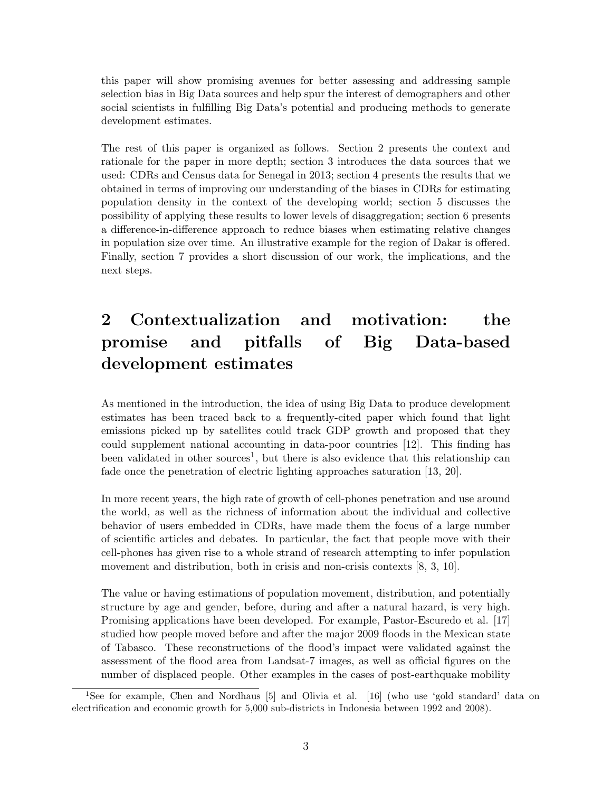this paper will show promising avenues for better assessing and addressing sample selection bias in Big Data sources and help spur the interest of demographers and other social scientists in fulfilling Big Data's potential and producing methods to generate development estimates.

The rest of this paper is organized as follows. Section 2 presents the context and rationale for the paper in more depth; section 3 introduces the data sources that we used: CDRs and Census data for Senegal in 2013; section 4 presents the results that we obtained in terms of improving our understanding of the biases in CDRs for estimating population density in the context of the developing world; section 5 discusses the possibility of applying these results to lower levels of disaggregation; section 6 presents a difference-in-difference approach to reduce biases when estimating relative changes in population size over time. An illustrative example for the region of Dakar is offered. Finally, section 7 provides a short discussion of our work, the implications, and the next steps.

## 2 Contextualization and motivation: the promise and pitfalls of Big Data-based development estimates

As mentioned in the introduction, the idea of using Big Data to produce development estimates has been traced back to a frequently-cited paper which found that light emissions picked up by satellites could track GDP growth and proposed that they could supplement national accounting in data-poor countries [12]. This finding has been validated in other sources<sup>1</sup>, but there is also evidence that this relationship can fade once the penetration of electric lighting approaches saturation [13, 20].

In more recent years, the high rate of growth of cell-phones penetration and use around the world, as well as the richness of information about the individual and collective behavior of users embedded in CDRs, have made them the focus of a large number of scientific articles and debates. In particular, the fact that people move with their cell-phones has given rise to a whole strand of research attempting to infer population movement and distribution, both in crisis and non-crisis contexts  $[8, 3, 10]$ .

The value or having estimations of population movement, distribution, and potentially structure by age and gender, before, during and after a natural hazard, is very high. Promising applications have been developed. For example, Pastor-Escuredo et al. [17] studied how people moved before and after the major 2009 floods in the Mexican state of Tabasco. These reconstructions of the flood's impact were validated against the assessment of the flood area from Landsat-7 images, as well as official figures on the number of displaced people. Other examples in the cases of post-earthquake mobility

<sup>1</sup>See for example, Chen and Nordhaus [5] and Olivia et al. [16] (who use 'gold standard' data on electrification and economic growth for 5,000 sub-districts in Indonesia between 1992 and 2008).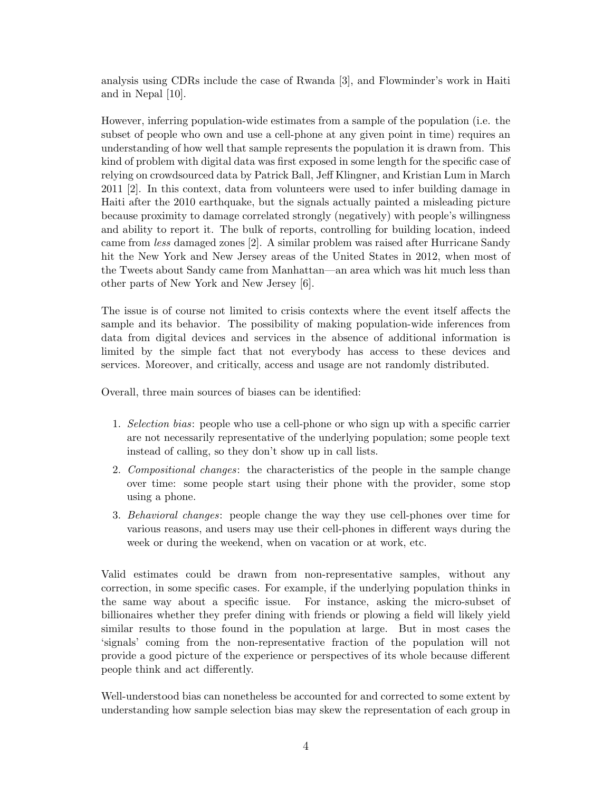analysis using CDRs include the case of Rwanda [3], and Flowminder's work in Haiti and in Nepal [10].

However, inferring population-wide estimates from a sample of the population (i.e. the subset of people who own and use a cell-phone at any given point in time) requires an understanding of how well that sample represents the population it is drawn from. This kind of problem with digital data was first exposed in some length for the specific case of relying on crowdsourced data by Patrick Ball, Jeff Klingner, and Kristian Lum in March 2011 [2]. In this context, data from volunteers were used to infer building damage in Haiti after the 2010 earthquake, but the signals actually painted a misleading picture because proximity to damage correlated strongly (negatively) with people's willingness and ability to report it. The bulk of reports, controlling for building location, indeed came from less damaged zones [2]. A similar problem was raised after Hurricane Sandy hit the New York and New Jersey areas of the United States in 2012, when most of the Tweets about Sandy came from Manhattan—an area which was hit much less than other parts of New York and New Jersey [6].

The issue is of course not limited to crisis contexts where the event itself affects the sample and its behavior. The possibility of making population-wide inferences from data from digital devices and services in the absence of additional information is limited by the simple fact that not everybody has access to these devices and services. Moreover, and critically, access and usage are not randomly distributed.

Overall, three main sources of biases can be identified:

- 1. Selection bias: people who use a cell-phone or who sign up with a specific carrier are not necessarily representative of the underlying population; some people text instead of calling, so they don't show up in call lists.
- 2. Compositional changes: the characteristics of the people in the sample change over time: some people start using their phone with the provider, some stop using a phone.
- 3. Behavioral changes: people change the way they use cell-phones over time for various reasons, and users may use their cell-phones in different ways during the week or during the weekend, when on vacation or at work, etc.

Valid estimates could be drawn from non-representative samples, without any correction, in some specific cases. For example, if the underlying population thinks in the same way about a specific issue. For instance, asking the micro-subset of billionaires whether they prefer dining with friends or plowing a field will likely yield similar results to those found in the population at large. But in most cases the 'signals' coming from the non-representative fraction of the population will not provide a good picture of the experience or perspectives of its whole because different people think and act differently.

Well-understood bias can nonetheless be accounted for and corrected to some extent by understanding how sample selection bias may skew the representation of each group in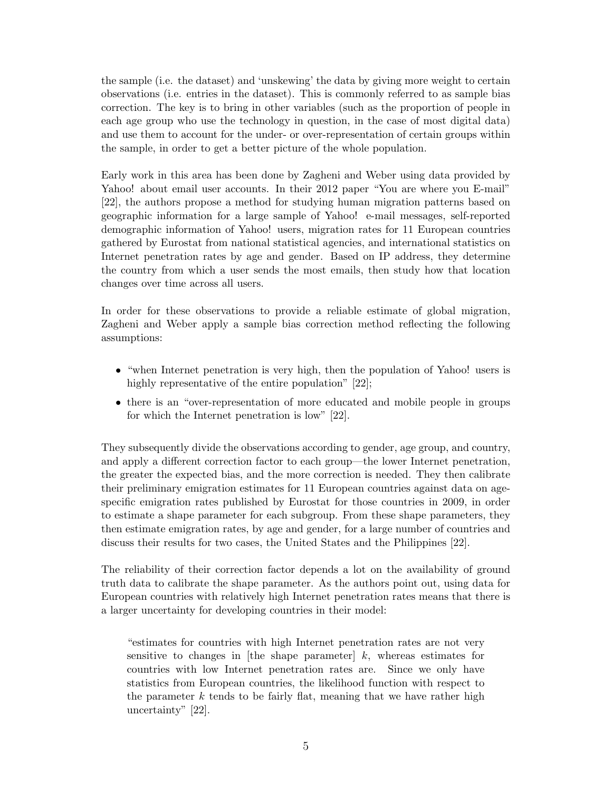the sample (i.e. the dataset) and 'unskewing' the data by giving more weight to certain observations (i.e. entries in the dataset). This is commonly referred to as sample bias correction. The key is to bring in other variables (such as the proportion of people in each age group who use the technology in question, in the case of most digital data) and use them to account for the under- or over-representation of certain groups within the sample, in order to get a better picture of the whole population.

Early work in this area has been done by Zagheni and Weber using data provided by Yahoo! about email user accounts. In their 2012 paper "You are where you E-mail" [22], the authors propose a method for studying human migration patterns based on geographic information for a large sample of Yahoo! e-mail messages, self-reported demographic information of Yahoo! users, migration rates for 11 European countries gathered by Eurostat from national statistical agencies, and international statistics on Internet penetration rates by age and gender. Based on IP address, they determine the country from which a user sends the most emails, then study how that location changes over time across all users.

In order for these observations to provide a reliable estimate of global migration, Zagheni and Weber apply a sample bias correction method reflecting the following assumptions:

- "when Internet penetration is very high, then the population of Yahoo! users is highly representative of the entire population" [22];
- there is an "over-representation of more educated and mobile people in groups for which the Internet penetration is low" [22].

They subsequently divide the observations according to gender, age group, and country, and apply a different correction factor to each group—the lower Internet penetration, the greater the expected bias, and the more correction is needed. They then calibrate their preliminary emigration estimates for 11 European countries against data on agespecific emigration rates published by Eurostat for those countries in 2009, in order to estimate a shape parameter for each subgroup. From these shape parameters, they then estimate emigration rates, by age and gender, for a large number of countries and discuss their results for two cases, the United States and the Philippines [22].

The reliability of their correction factor depends a lot on the availability of ground truth data to calibrate the shape parameter. As the authors point out, using data for European countries with relatively high Internet penetration rates means that there is a larger uncertainty for developing countries in their model:

"estimates for countries with high Internet penetration rates are not very sensitive to changes in [the shape parameter]  $k$ , whereas estimates for countries with low Internet penetration rates are. Since we only have statistics from European countries, the likelihood function with respect to the parameter  $k$  tends to be fairly flat, meaning that we have rather high uncertainty" [22].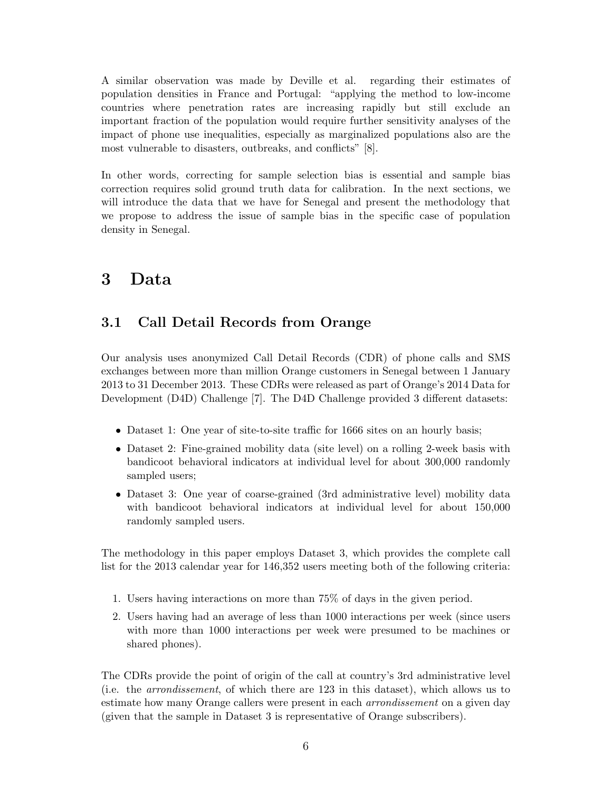A similar observation was made by Deville et al. regarding their estimates of population densities in France and Portugal: "applying the method to low-income countries where penetration rates are increasing rapidly but still exclude an important fraction of the population would require further sensitivity analyses of the impact of phone use inequalities, especially as marginalized populations also are the most vulnerable to disasters, outbreaks, and conflicts" [8].

In other words, correcting for sample selection bias is essential and sample bias correction requires solid ground truth data for calibration. In the next sections, we will introduce the data that we have for Senegal and present the methodology that we propose to address the issue of sample bias in the specific case of population density in Senegal.

### 3 Data

#### 3.1 Call Detail Records from Orange

Our analysis uses anonymized Call Detail Records (CDR) of phone calls and SMS exchanges between more than million Orange customers in Senegal between 1 January 2013 to 31 December 2013. These CDRs were released as part of Orange's 2014 Data for Development (D4D) Challenge [7]. The D4D Challenge provided 3 different datasets:

- Dataset 1: One year of site-to-site traffic for 1666 sites on an hourly basis;
- Dataset 2: Fine-grained mobility data (site level) on a rolling 2-week basis with bandicoot behavioral indicators at individual level for about 300,000 randomly sampled users;
- Dataset 3: One year of coarse-grained (3rd administrative level) mobility data with bandicoot behavioral indicators at individual level for about 150,000 randomly sampled users.

The methodology in this paper employs Dataset 3, which provides the complete call list for the 2013 calendar year for 146,352 users meeting both of the following criteria:

- 1. Users having interactions on more than 75% of days in the given period.
- 2. Users having had an average of less than 1000 interactions per week (since users with more than 1000 interactions per week were presumed to be machines or shared phones).

The CDRs provide the point of origin of the call at country's 3rd administrative level (i.e. the arrondissement, of which there are 123 in this dataset), which allows us to estimate how many Orange callers were present in each arrondissement on a given day (given that the sample in Dataset 3 is representative of Orange subscribers).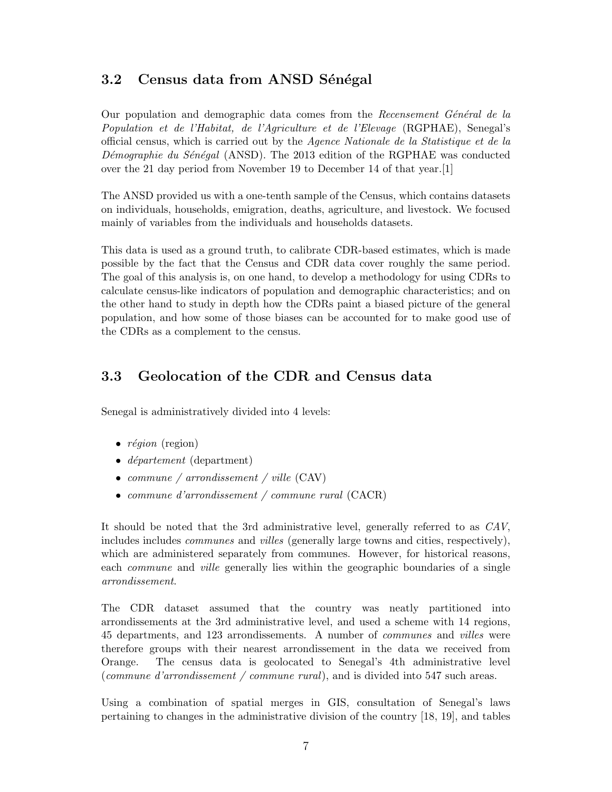#### 3.2 Census data from ANSD Sénégal

Our population and demographic data comes from the Recensement Général de la Population et de l'Habitat, de l'Agriculture et de l'Elevage (RGPHAE), Senegal's official census, which is carried out by the Agence Nationale de la Statistique et de la Démographie du Sénégal (ANSD). The 2013 edition of the RGPHAE was conducted over the 21 day period from November 19 to December 14 of that year.[1]

The ANSD provided us with a one-tenth sample of the Census, which contains datasets on individuals, households, emigration, deaths, agriculture, and livestock. We focused mainly of variables from the individuals and households datasets.

This data is used as a ground truth, to calibrate CDR-based estimates, which is made possible by the fact that the Census and CDR data cover roughly the same period. The goal of this analysis is, on one hand, to develop a methodology for using CDRs to calculate census-like indicators of population and demographic characteristics; and on the other hand to study in depth how the CDRs paint a biased picture of the general population, and how some of those biases can be accounted for to make good use of the CDRs as a complement to the census.

#### 3.3 Geolocation of the CDR and Census data

Senegal is administratively divided into 4 levels:

- $r\acute{e}qion$  (region)
- *département* (department)
- commune / arrondissement / ville (CAV)
- commune d'arrondissement / commune rural (CACR)

It should be noted that the 3rd administrative level, generally referred to as CAV, includes includes communes and villes (generally large towns and cities, respectively), which are administered separately from communes. However, for historical reasons, each commune and ville generally lies within the geographic boundaries of a single arrondissement.

The CDR dataset assumed that the country was neatly partitioned into arrondissements at the 3rd administrative level, and used a scheme with 14 regions, 45 departments, and 123 arrondissements. A number of communes and villes were therefore groups with their nearest arrondissement in the data we received from Orange. The census data is geolocated to Senegal's 4th administrative level (commune d'arrondissement / commune rural), and is divided into 547 such areas.

Using a combination of spatial merges in GIS, consultation of Senegal's laws pertaining to changes in the administrative division of the country [18, 19], and tables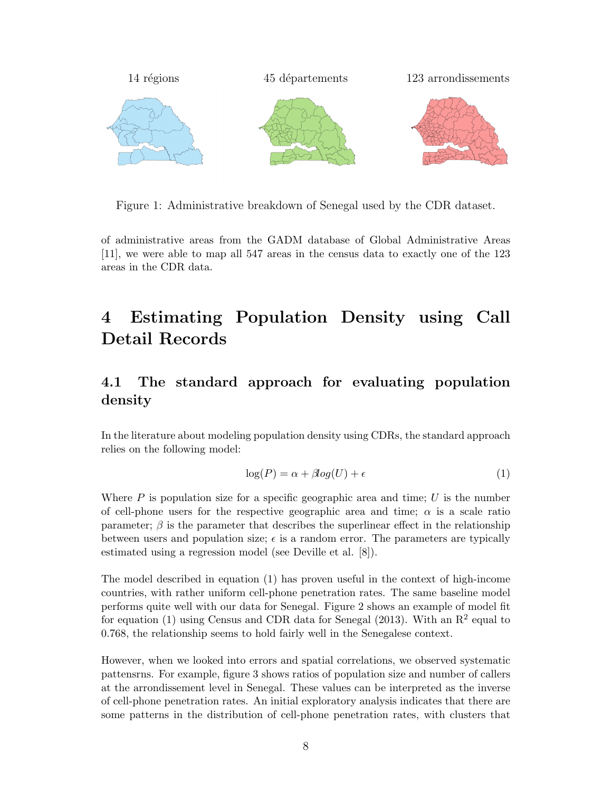

Figure 1: Administrative breakdown of Senegal used by the CDR dataset.

of administrative areas from the GADM database of Global Administrative Areas [11], we were able to map all 547 areas in the census data to exactly one of the 123 areas in the CDR data.

## 4 Estimating Population Density using Call Detail Records

#### 4.1 The standard approach for evaluating population density

In the literature about modeling population density using CDRs, the standard approach relies on the following model:

$$
\log(P) = \alpha + \beta \log(U) + \epsilon \tag{1}
$$

Where  $P$  is population size for a specific geographic area and time; U is the number of cell-phone users for the respective geographic area and time;  $\alpha$  is a scale ratio parameter;  $\beta$  is the parameter that describes the superlinear effect in the relationship between users and population size;  $\epsilon$  is a random error. The parameters are typically estimated using a regression model (see Deville et al. [8]).

The model described in equation (1) has proven useful in the context of high-income countries, with rather uniform cell-phone penetration rates. The same baseline model performs quite well with our data for Senegal. Figure 2 shows an example of model fit for equation (1) using Census and CDR data for Senegal (2013). With an  $\mathbb{R}^2$  equal to 0.768, the relationship seems to hold fairly well in the Senegalese context.

However, when we looked into errors and spatial correlations, we observed systematic pattensrns. For example, figure 3 shows ratios of population size and number of callers at the arrondissement level in Senegal. These values can be interpreted as the inverse of cell-phone penetration rates. An initial exploratory analysis indicates that there are some patterns in the distribution of cell-phone penetration rates, with clusters that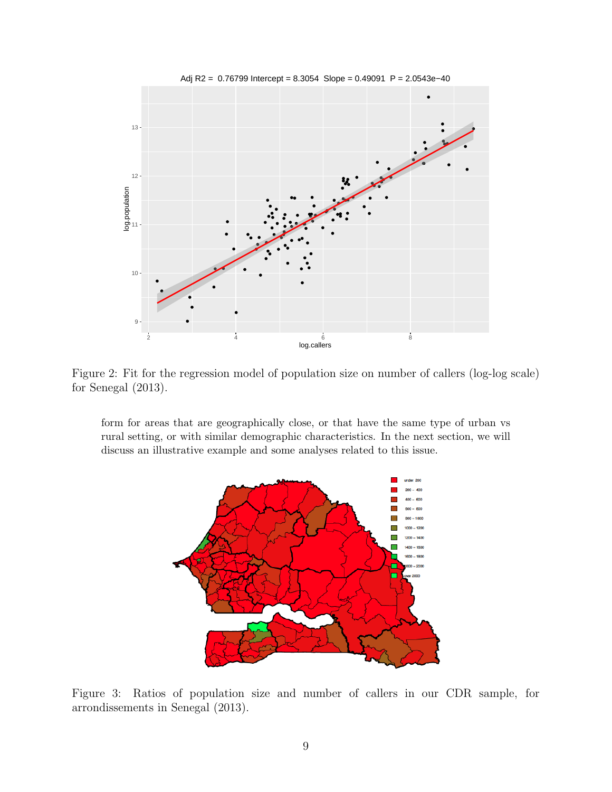

Figure 2: Fit for the regression model of population size on number of callers (log-log scale) for Senegal (2013).

form for areas that are geographically close, or that have the same type of urban vs rural setting, or with similar demographic characteristics. In the next section, we will discuss an illustrative example and some analyses related to this issue.



Figure 3: Ratios of population size and number of callers in our CDR sample, for arrondissements in Senegal (2013).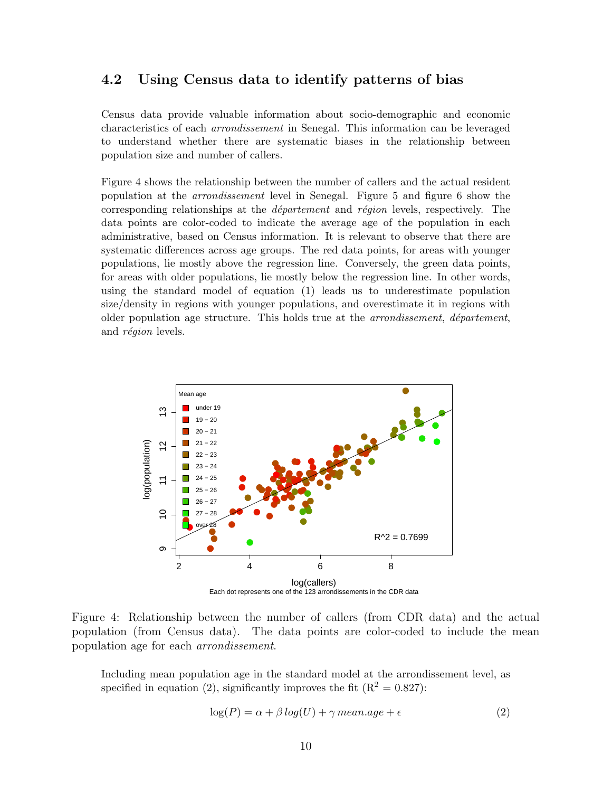#### 4.2 Using Census data to identify patterns of bias

Census data provide valuable information about socio-demographic and economic characteristics of each arrondissement in Senegal. This information can be leveraged to understand whether there are systematic biases in the relationship between population size and number of callers.

Figure 4 shows the relationship between the number of callers and the actual resident population at the arrondissement level in Senegal. Figure 5 and figure 6 show the corresponding relationships at the *département* and *région* levels, respectively. The data points are color-coded to indicate the average age of the population in each administrative, based on Census information. It is relevant to observe that there are systematic differences across age groups. The red data points, for areas with younger populations, lie mostly above the regression line. Conversely, the green data points, for areas with older populations, lie mostly below the regression line. In other words, using the standard model of equation (1) leads us to underestimate population size/density in regions with younger populations, and overestimate it in regions with older population age structure. This holds true at the *arrondissement*, *département*, and *région* levels.



Figure 4: Relationship between the number of callers (from CDR data) and the actual population (from Census data). The data points are color-coded to include the mean population age for each arrondissement.

Including mean population age in the standard model at the arrondissement level, as specified in equation (2), significantly improves the fit  $(R^2 = 0.827)$ :

$$
log(P) = \alpha + \beta \log(U) + \gamma \, mean \, age + \epsilon \tag{2}
$$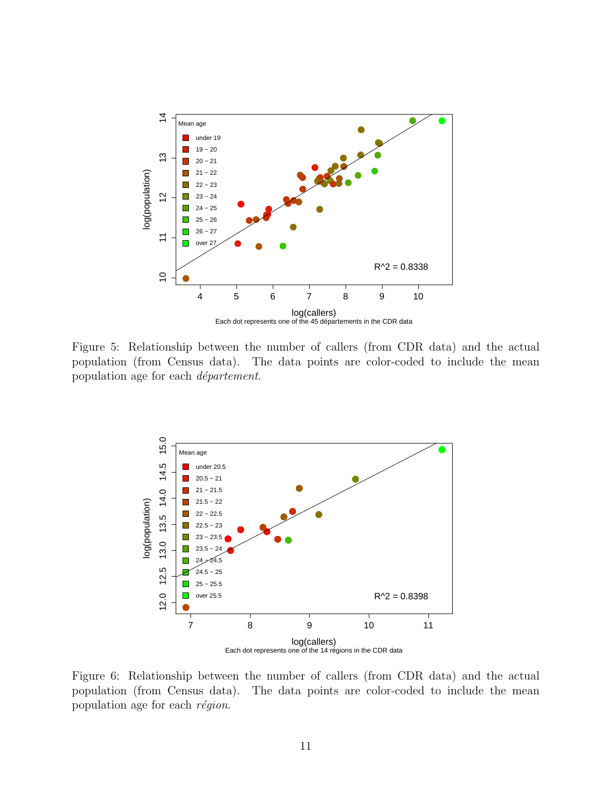

Figure 5: Relationship between the number of callers (from CDR data) and the actual population (from Census data). The data points are color-coded to include the mean population age for each *département*.



Figure 6: Relationship between the number of callers (from CDR data) and the actual population (from Census data). The data points are color-coded to include the mean population age for each  $r\acute{e}gion$ .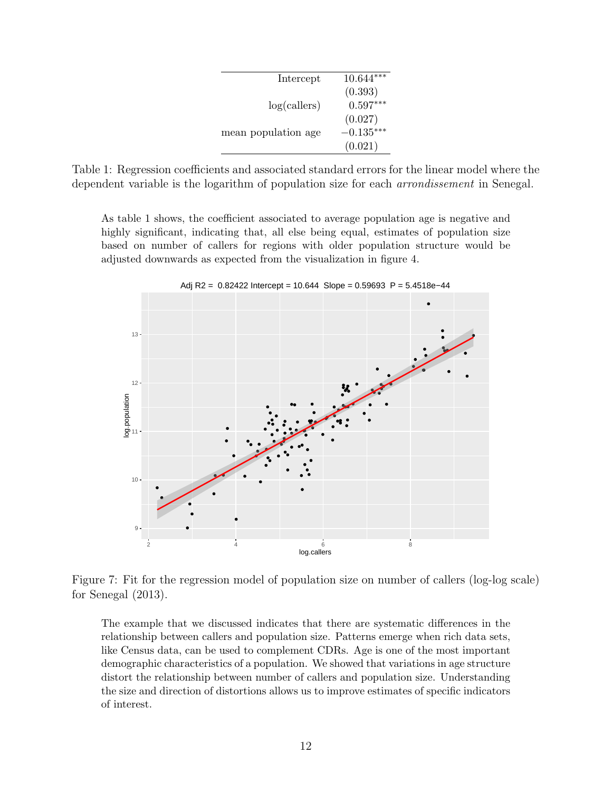| Intercept           | $10.644***$ |
|---------------------|-------------|
|                     | (0.393)     |
| log(callers)        | $0.597***$  |
|                     | (0.027)     |
| mean population age | $-0.135***$ |
|                     | (0.021)     |

Table 1: Regression coefficients and associated standard errors for the linear model where the dependent variable is the logarithm of population size for each arrondissement in Senegal.

As table 1 shows, the coefficient associated to average population age is negative and highly significant, indicating that, all else being equal, estimates of population size based on number of callers for regions with older population structure would be adjusted downwards as expected from the visualization in figure 4.



Adj R2 = 0.82422 Intercept = 10.644 Slope = 0.59693 P = 5.4518e−44

Figure 7: Fit for the regression model of population size on number of callers (log-log scale) for Senegal (2013).

The example that we discussed indicates that there are systematic differences in the relationship between callers and population size. Patterns emerge when rich data sets, like Census data, can be used to complement CDRs. Age is one of the most important demographic characteristics of a population. We showed that variations in age structure distort the relationship between number of callers and population size. Understanding the size and direction of distortions allows us to improve estimates of specific indicators of interest.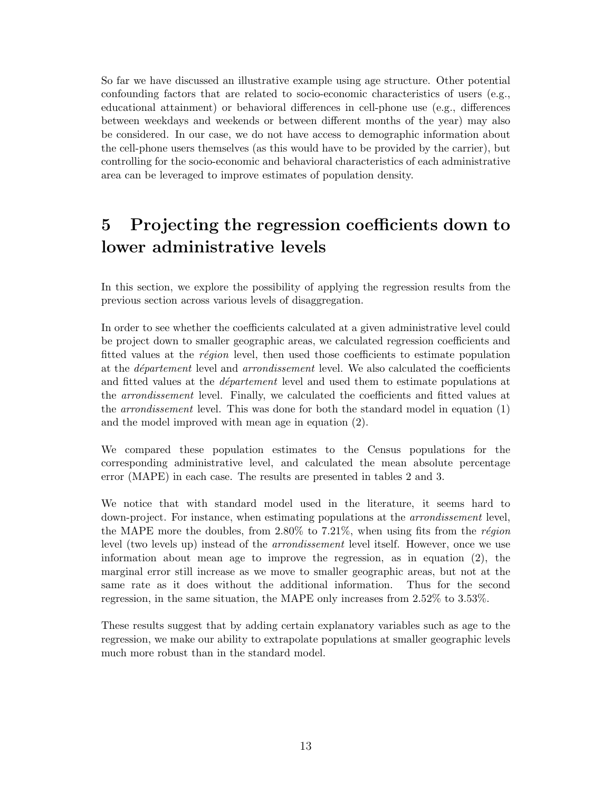So far we have discussed an illustrative example using age structure. Other potential confounding factors that are related to socio-economic characteristics of users (e.g., educational attainment) or behavioral differences in cell-phone use (e.g., differences between weekdays and weekends or between different months of the year) may also be considered. In our case, we do not have access to demographic information about the cell-phone users themselves (as this would have to be provided by the carrier), but controlling for the socio-economic and behavioral characteristics of each administrative area can be leveraged to improve estimates of population density.

## 5 Projecting the regression coefficients down to lower administrative levels

In this section, we explore the possibility of applying the regression results from the previous section across various levels of disaggregation.

In order to see whether the coefficients calculated at a given administrative level could be project down to smaller geographic areas, we calculated regression coefficients and fitted values at the *région* level, then used those coefficients to estimate population at the *département* level and *arrondissement* level. We also calculated the coefficients and fitted values at the *département* level and used them to estimate populations at the arrondissement level. Finally, we calculated the coefficients and fitted values at the arrondissement level. This was done for both the standard model in equation (1) and the model improved with mean age in equation (2).

We compared these population estimates to the Census populations for the corresponding administrative level, and calculated the mean absolute percentage error (MAPE) in each case. The results are presented in tables 2 and 3.

We notice that with standard model used in the literature, it seems hard to down-project. For instance, when estimating populations at the arrondissement level, the MAPE more the doubles, from  $2.80\%$  to 7.21%, when using fits from the *région* level (two levels up) instead of the arrondissement level itself. However, once we use information about mean age to improve the regression, as in equation (2), the marginal error still increase as we move to smaller geographic areas, but not at the same rate as it does without the additional information. Thus for the second regression, in the same situation, the MAPE only increases from 2.52% to 3.53%.

These results suggest that by adding certain explanatory variables such as age to the regression, we make our ability to extrapolate populations at smaller geographic levels much more robust than in the standard model.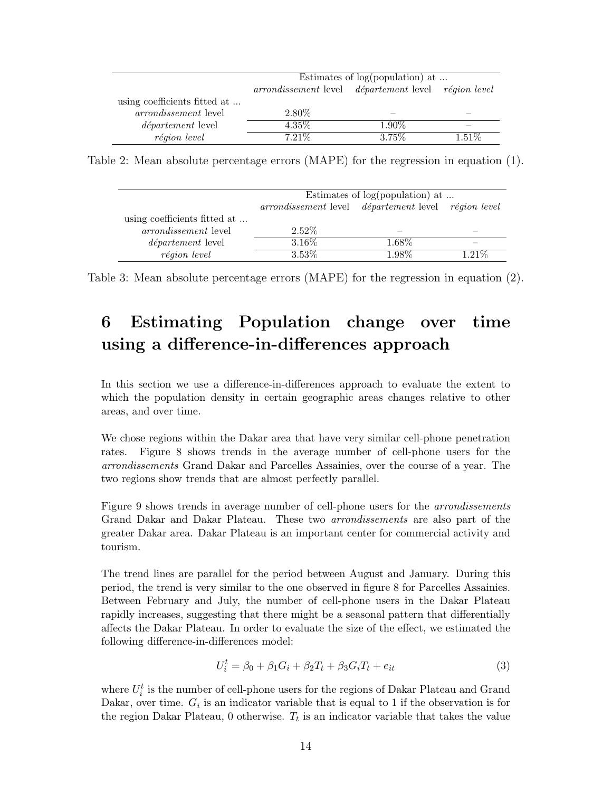|                              | Estimates of $log(population)$ at                   |          |          |
|------------------------------|-----------------------------------------------------|----------|----------|
|                              | arrondissement level département level région level |          |          |
| using coefficients fitted at |                                                     |          |          |
| <i>arrondissement</i> level  | 2.80\%                                              |          |          |
| <i>département</i> level     | $4.35\%$                                            | $1.90\%$ |          |
| région level                 | $7.21\%$                                            | $3.75\%$ | $1.51\%$ |

Table 2: Mean absolute percentage errors (MAPE) for the regression in equation (1).

|                              | Estimates of $log(population)$ at                   |                          |                          |
|------------------------------|-----------------------------------------------------|--------------------------|--------------------------|
|                              | arrondissement level département level région level |                          |                          |
| using coefficients fitted at |                                                     |                          |                          |
| <i>arrondissement</i> level  | $2.52\%$                                            | $\overline{\phantom{a}}$ | $\overline{\phantom{a}}$ |
| <i>département</i> level     | 3.16\%                                              | 1.68\%                   | $\overline{\phantom{a}}$ |
| région level                 | $3.53\%$                                            | 1.98%                    | $1.21\%$                 |

Table 3: Mean absolute percentage errors (MAPE) for the regression in equation (2).

## 6 Estimating Population change over time using a difference-in-differences approach

In this section we use a difference-in-differences approach to evaluate the extent to which the population density in certain geographic areas changes relative to other areas, and over time.

We chose regions within the Dakar area that have very similar cell-phone penetration rates. Figure 8 shows trends in the average number of cell-phone users for the arrondissements Grand Dakar and Parcelles Assainies, over the course of a year. The two regions show trends that are almost perfectly parallel.

Figure 9 shows trends in average number of cell-phone users for the arrondissements Grand Dakar and Dakar Plateau. These two arrondissements are also part of the greater Dakar area. Dakar Plateau is an important center for commercial activity and tourism.

The trend lines are parallel for the period between August and January. During this period, the trend is very similar to the one observed in figure 8 for Parcelles Assainies. Between February and July, the number of cell-phone users in the Dakar Plateau rapidly increases, suggesting that there might be a seasonal pattern that differentially affects the Dakar Plateau. In order to evaluate the size of the effect, we estimated the following difference-in-differences model:

$$
U_i^t = \beta_0 + \beta_1 G_i + \beta_2 T_t + \beta_3 G_i T_t + e_{it}
$$
\n(3)

where  $U_i^t$  is the number of cell-phone users for the regions of Dakar Plateau and Grand Dakar, over time.  $G_i$  is an indicator variable that is equal to 1 if the observation is for the region Dakar Plateau,  $0$  otherwise.  $T_t$  is an indicator variable that takes the value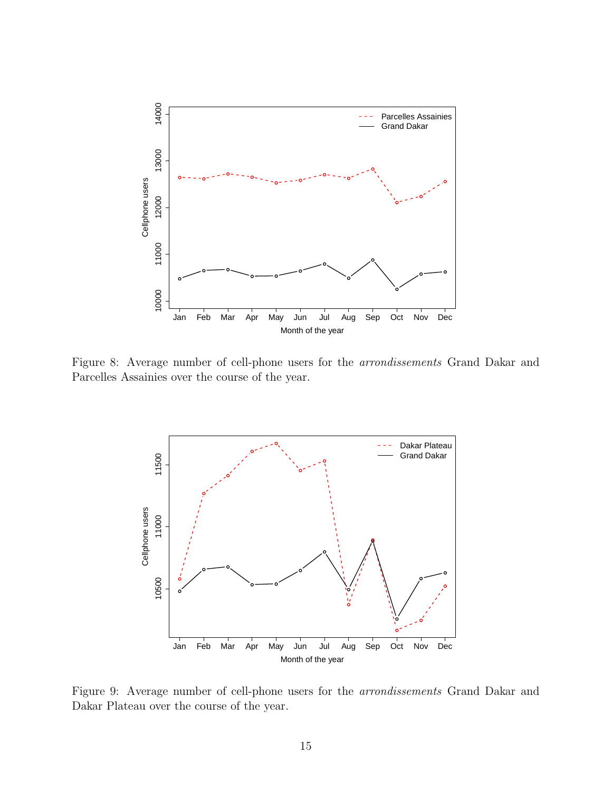

Figure 8: Average number of cell-phone users for the arrondissements Grand Dakar and Parcelles Assainies over the course of the year.



Figure 9: Average number of cell-phone users for the arrondissements Grand Dakar and Dakar Plateau over the course of the year.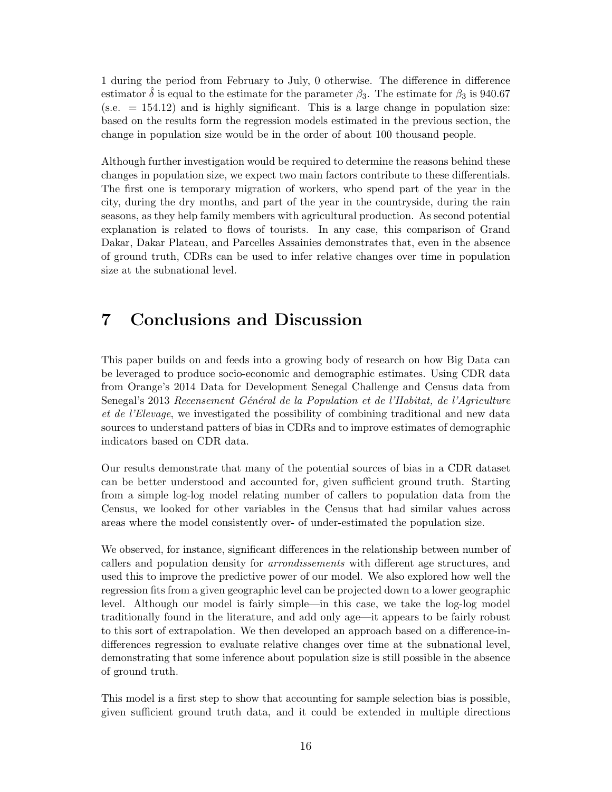1 during the period from February to July, 0 otherwise. The difference in difference estimator  $\hat{\delta}$  is equal to the estimate for the parameter  $\beta_3$ . The estimate for  $\beta_3$  is 940.67  $(s.e. = 154.12)$  and is highly significant. This is a large change in population size: based on the results form the regression models estimated in the previous section, the change in population size would be in the order of about 100 thousand people.

Although further investigation would be required to determine the reasons behind these changes in population size, we expect two main factors contribute to these differentials. The first one is temporary migration of workers, who spend part of the year in the city, during the dry months, and part of the year in the countryside, during the rain seasons, as they help family members with agricultural production. As second potential explanation is related to flows of tourists. In any case, this comparison of Grand Dakar, Dakar Plateau, and Parcelles Assainies demonstrates that, even in the absence of ground truth, CDRs can be used to infer relative changes over time in population size at the subnational level.

#### 7 Conclusions and Discussion

This paper builds on and feeds into a growing body of research on how Big Data can be leveraged to produce socio-economic and demographic estimates. Using CDR data from Orange's 2014 Data for Development Senegal Challenge and Census data from Senegal's 2013 Recensement Général de la Population et de l'Habitat, de l'Agriculture et de l'Elevage, we investigated the possibility of combining traditional and new data sources to understand patters of bias in CDRs and to improve estimates of demographic indicators based on CDR data.

Our results demonstrate that many of the potential sources of bias in a CDR dataset can be better understood and accounted for, given sufficient ground truth. Starting from a simple log-log model relating number of callers to population data from the Census, we looked for other variables in the Census that had similar values across areas where the model consistently over- of under-estimated the population size.

We observed, for instance, significant differences in the relationship between number of callers and population density for arrondissements with different age structures, and used this to improve the predictive power of our model. We also explored how well the regression fits from a given geographic level can be projected down to a lower geographic level. Although our model is fairly simple—in this case, we take the log-log model traditionally found in the literature, and add only age—it appears to be fairly robust to this sort of extrapolation. We then developed an approach based on a difference-indifferences regression to evaluate relative changes over time at the subnational level, demonstrating that some inference about population size is still possible in the absence of ground truth.

This model is a first step to show that accounting for sample selection bias is possible, given sufficient ground truth data, and it could be extended in multiple directions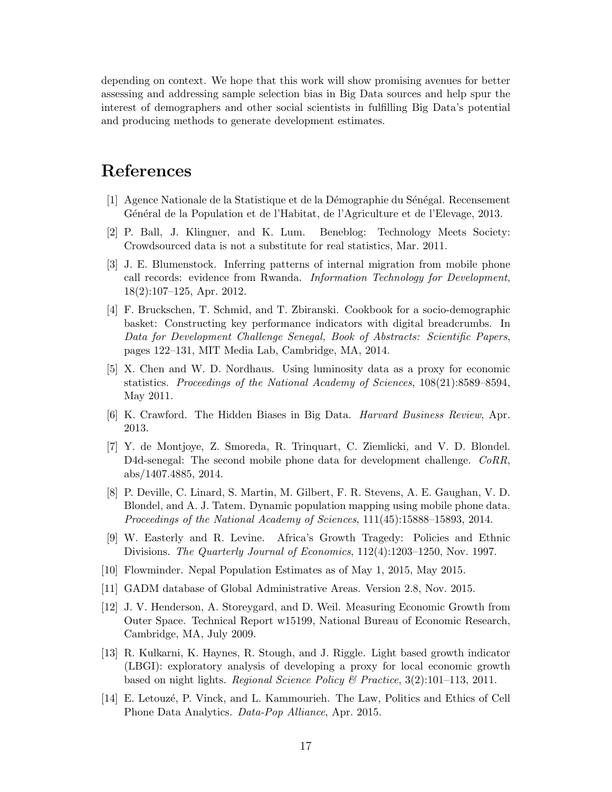depending on context. We hope that this work will show promising avenues for better assessing and addressing sample selection bias in Big Data sources and help spur the interest of demographers and other social scientists in fulfilling Big Data's potential and producing methods to generate development estimates.

### References

- [1] Agence Nationale de la Statistique et de la Démographie du Sénégal. Recensement Général de la Population et de l'Habitat, de l'Agriculture et de l'Elevage, 2013.
- [2] P. Ball, J. Klingner, and K. Lum. Beneblog: Technology Meets Society: Crowdsourced data is not a substitute for real statistics, Mar. 2011.
- [3] J. E. Blumenstock. Inferring patterns of internal migration from mobile phone call records: evidence from Rwanda. Information Technology for Development, 18(2):107–125, Apr. 2012.
- [4] F. Bruckschen, T. Schmid, and T. Zbiranski. Cookbook for a socio-demographic basket: Constructing key performance indicators with digital breadcrumbs. In Data for Development Challenge Senegal, Book of Abstracts: Scientific Papers, pages 122–131, MIT Media Lab, Cambridge, MA, 2014.
- [5] X. Chen and W. D. Nordhaus. Using luminosity data as a proxy for economic statistics. Proceedings of the National Academy of Sciences, 108(21):8589–8594, May 2011.
- [6] K. Crawford. The Hidden Biases in Big Data. Harvard Business Review, Apr. 2013.
- [7] Y. de Montjoye, Z. Smoreda, R. Trinquart, C. Ziemlicki, and V. D. Blondel. D4d-senegal: The second mobile phone data for development challenge. CoRR, abs/1407.4885, 2014.
- [8] P. Deville, C. Linard, S. Martin, M. Gilbert, F. R. Stevens, A. E. Gaughan, V. D. Blondel, and A. J. Tatem. Dynamic population mapping using mobile phone data. Proceedings of the National Academy of Sciences, 111(45):15888–15893, 2014.
- [9] W. Easterly and R. Levine. Africa's Growth Tragedy: Policies and Ethnic Divisions. The Quarterly Journal of Economics, 112(4):1203–1250, Nov. 1997.
- [10] Flowminder. Nepal Population Estimates as of May 1, 2015, May 2015.
- [11] GADM database of Global Administrative Areas. Version 2.8, Nov. 2015.
- [12] J. V. Henderson, A. Storeygard, and D. Weil. Measuring Economic Growth from Outer Space. Technical Report w15199, National Bureau of Economic Research, Cambridge, MA, July 2009.
- [13] R. Kulkarni, K. Haynes, R. Stough, and J. Riggle. Light based growth indicator (LBGI): exploratory analysis of developing a proxy for local economic growth based on night lights. Regional Science Policy & Practice,  $3(2):101-113$ ,  $2011$ .
- [14] E. Letouz´e, P. Vinck, and L. Kammourieh. The Law, Politics and Ethics of Cell Phone Data Analytics. Data-Pop Alliance, Apr. 2015.